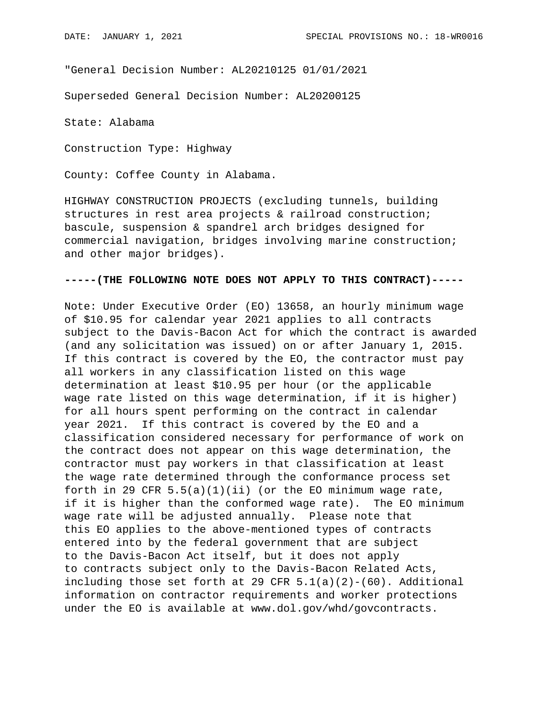"General Decision Number: AL20210125 01/01/2021

Superseded General Decision Number: AL20200125

State: Alabama

Construction Type: Highway

County: Coffee County in Alabama.

HIGHWAY CONSTRUCTION PROJECTS (excluding tunnels, building structures in rest area projects & railroad construction; bascule, suspension & spandrel arch bridges designed for commercial navigation, bridges involving marine construction; and other major bridges).

## **-----(THE FOLLOWING NOTE DOES NOT APPLY TO THIS CONTRACT)-----**

Note: Under Executive Order (EO) 13658, an hourly minimum wage of \$10.95 for calendar year 2021 applies to all contracts subject to the Davis-Bacon Act for which the contract is awarded (and any solicitation was issued) on or after January 1, 2015. If this contract is covered by the EO, the contractor must pay all workers in any classification listed on this wage determination at least \$10.95 per hour (or the applicable wage rate listed on this wage determination, if it is higher) for all hours spent performing on the contract in calendar year 2021. If this contract is covered by the EO and a classification considered necessary for performance of work on the contract does not appear on this wage determination, the contractor must pay workers in that classification at least the wage rate determined through the conformance process set forth in 29 CFR  $5.5(a)(1)(ii)$  (or the EO minimum wage rate, if it is higher than the conformed wage rate). The EO minimum wage rate will be adjusted annually. Please note that this EO applies to the above-mentioned types of contracts entered into by the federal government that are subject to the Davis-Bacon Act itself, but it does not apply to contracts subject only to the Davis-Bacon Related Acts, including those set forth at 29 CFR  $5.1(a)(2)-(60)$ . Additional information on contractor requirements and worker protections under the EO is available at www.dol.gov/whd/govcontracts.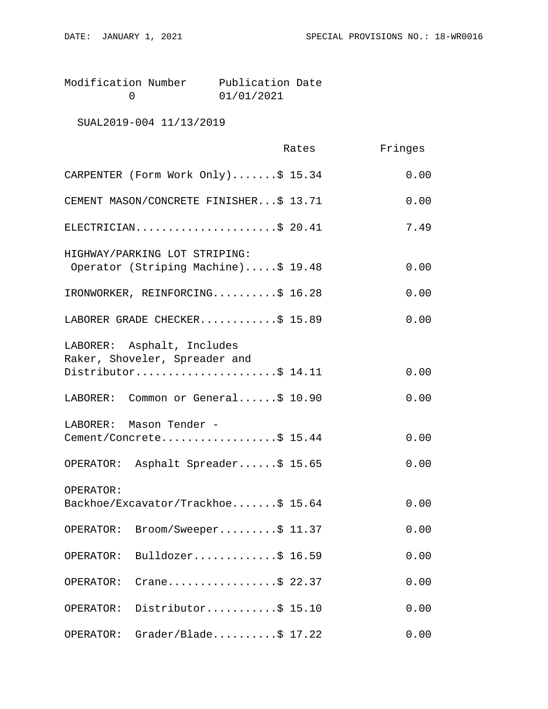Modification Number Publication Date<br>0 01/01/2021 0 01/01/2021

SUAL2019-004 11/13/2019

|                                                                      | Rates | Fringes |
|----------------------------------------------------------------------|-------|---------|
| CARPENTER (Form Work Only)\$ 15.34                                   |       | 0.00    |
| CEMENT MASON/CONCRETE FINISHER\$ 13.71                               |       | 0.00    |
| ELECTRICIAN\$ 20.41                                                  |       | 7.49    |
| HIGHWAY/PARKING LOT STRIPING:<br>Operator (Striping Machine)\$ 19.48 |       | 0.00    |
| IRONWORKER, REINFORCING\$ 16.28                                      |       | 0.00    |
| LABORER GRADE CHECKER\$ 15.89                                        |       | 0.00    |
| LABORER: Asphalt, Includes<br>Raker, Shoveler, Spreader and          |       |         |
| Distributor\$ 14.11                                                  |       | 0.00    |
| LABORER: Common or General\$ 10.90                                   |       | 0.00    |
| LABORER: Mason Tender -<br>Cement/Concrete\$ 15.44                   |       | 0.00    |
| OPERATOR: Asphalt Spreader\$ 15.65                                   |       | 0.00    |
| OPERATOR:<br>Backhoe/Excavator/Trackhoe\$ 15.64                      |       | 0.00    |
| Broom/Sweeper\$ 11.37<br>OPERATOR:                                   |       | 0.00    |
| Bulldozer\$ 16.59<br>OPERATOR:                                       |       | 0.00    |
| Crane\$ 22.37<br>OPERATOR:                                           |       | 0.00    |
| Distributor\$ 15.10<br>OPERATOR:                                     |       | 0.00    |
| $Grader/Blade \ldots$ . \$ 17.22<br>OPERATOR:                        |       | 0.00    |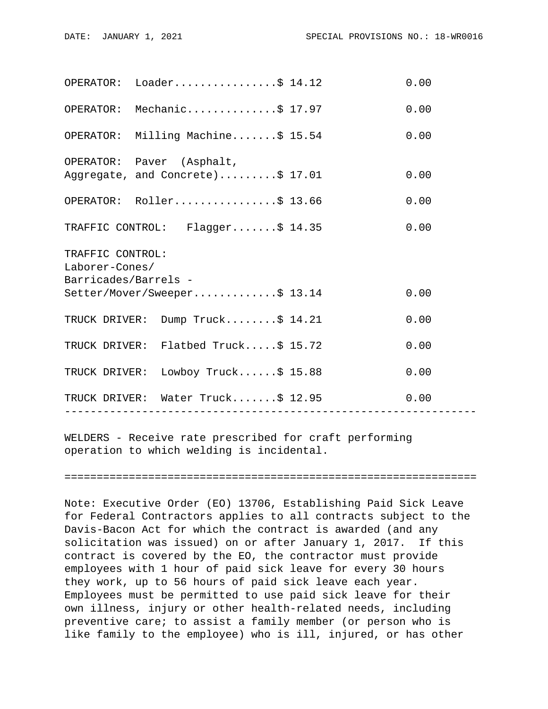|                                                            | $OPERATOR: Loader.$ 5 14.12                                   |                 | 0.00 |  |
|------------------------------------------------------------|---------------------------------------------------------------|-----------------|------|--|
|                                                            | OPERATOR: Mechanic\$ 17.97                                    |                 | 0.00 |  |
|                                                            | OPERATOR: Milling Machine\$ 15.54                             |                 | 0.00 |  |
|                                                            | OPERATOR: Paver (Asphalt,<br>Aggregate, and Concrete)\$ 17.01 |                 | 0.00 |  |
|                                                            | OPERATOR: Roller\$ 13.66                                      |                 | 0.00 |  |
|                                                            | TRAFFIC CONTROL: Flagger\$ 14.35                              |                 | 0.00 |  |
| TRAFFIC CONTROL:<br>Laborer-Cones/<br>Barricades/Barrels - |                                                               |                 |      |  |
|                                                            | Setter/Mover/Sweeper\$ 13.14                                  |                 | 0.00 |  |
|                                                            | TRUCK DRIVER: Dump Truck\$ 14.21                              |                 | 0.00 |  |
|                                                            | TRUCK DRIVER: Flatbed Truck\$ 15.72                           |                 | 0.00 |  |
|                                                            | TRUCK DRIVER: Lowboy Truck\$ 15.88                            |                 | 0.00 |  |
|                                                            | TRUCK DRIVER: Water Truck\$ 12.95<br>----------------         | --------------- | 0.00 |  |
|                                                            |                                                               |                 |      |  |

WELDERS - Receive rate prescribed for craft performing operation to which welding is incidental.

================================================================

Note: Executive Order (EO) 13706, Establishing Paid Sick Leave for Federal Contractors applies to all contracts subject to the Davis-Bacon Act for which the contract is awarded (and any solicitation was issued) on or after January 1, 2017. If this contract is covered by the EO, the contractor must provide employees with 1 hour of paid sick leave for every 30 hours they work, up to 56 hours of paid sick leave each year. Employees must be permitted to use paid sick leave for their own illness, injury or other health-related needs, including preventive care; to assist a family member (or person who is like family to the employee) who is ill, injured, or has other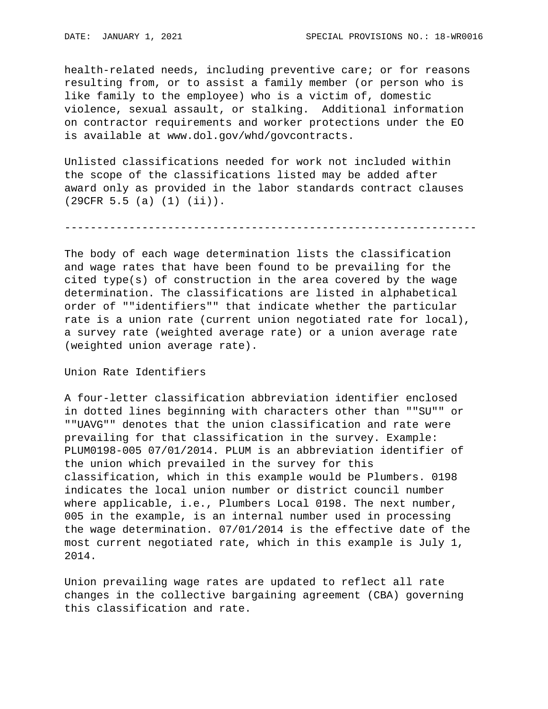health-related needs, including preventive care; or for reasons resulting from, or to assist a family member (or person who is like family to the employee) who is a victim of, domestic violence, sexual assault, or stalking. Additional information on contractor requirements and worker protections under the EO is available at www.dol.gov/whd/govcontracts.

Unlisted classifications needed for work not included within the scope of the classifications listed may be added after award only as provided in the labor standards contract clauses (29CFR 5.5 (a) (1) (ii)).

----------------------------------------------------------------

The body of each wage determination lists the classification and wage rates that have been found to be prevailing for the cited type(s) of construction in the area covered by the wage determination. The classifications are listed in alphabetical order of ""identifiers"" that indicate whether the particular rate is a union rate (current union negotiated rate for local), a survey rate (weighted average rate) or a union average rate (weighted union average rate).

Union Rate Identifiers

A four-letter classification abbreviation identifier enclosed in dotted lines beginning with characters other than ""SU"" or ""UAVG"" denotes that the union classification and rate were prevailing for that classification in the survey. Example: PLUM0198-005 07/01/2014. PLUM is an abbreviation identifier of the union which prevailed in the survey for this classification, which in this example would be Plumbers. 0198 indicates the local union number or district council number where applicable, i.e., Plumbers Local 0198. The next number, 005 in the example, is an internal number used in processing the wage determination. 07/01/2014 is the effective date of the most current negotiated rate, which in this example is July 1, 2014.

Union prevailing wage rates are updated to reflect all rate changes in the collective bargaining agreement (CBA) governing this classification and rate.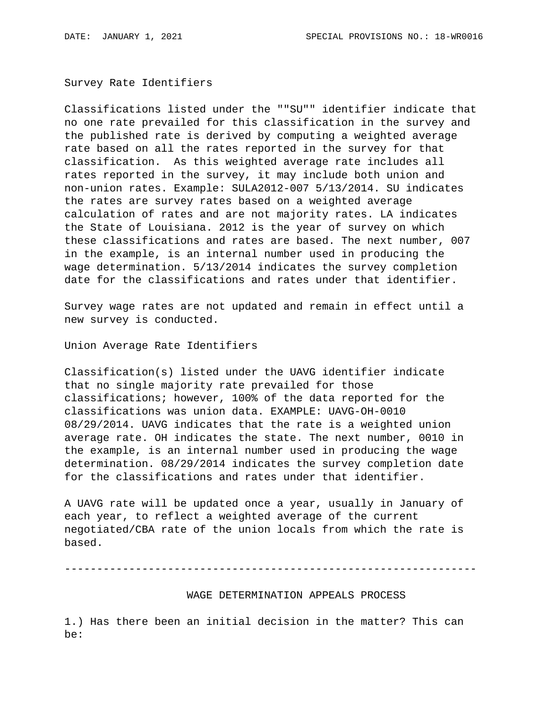Survey Rate Identifiers

Classifications listed under the ""SU"" identifier indicate that no one rate prevailed for this classification in the survey and the published rate is derived by computing a weighted average rate based on all the rates reported in the survey for that classification. As this weighted average rate includes all rates reported in the survey, it may include both union and non-union rates. Example: SULA2012-007 5/13/2014. SU indicates the rates are survey rates based on a weighted average calculation of rates and are not majority rates. LA indicates the State of Louisiana. 2012 is the year of survey on which these classifications and rates are based. The next number, 007 in the example, is an internal number used in producing the wage determination. 5/13/2014 indicates the survey completion date for the classifications and rates under that identifier.

Survey wage rates are not updated and remain in effect until a new survey is conducted.

Union Average Rate Identifiers

Classification(s) listed under the UAVG identifier indicate that no single majority rate prevailed for those classifications; however, 100% of the data reported for the classifications was union data. EXAMPLE: UAVG-OH-0010 08/29/2014. UAVG indicates that the rate is a weighted union average rate. OH indicates the state. The next number, 0010 in the example, is an internal number used in producing the wage determination. 08/29/2014 indicates the survey completion date for the classifications and rates under that identifier.

A UAVG rate will be updated once a year, usually in January of each year, to reflect a weighted average of the current negotiated/CBA rate of the union locals from which the rate is based.

----------------------------------------------------------------

WAGE DETERMINATION APPEALS PROCESS

1.) Has there been an initial decision in the matter? This can be: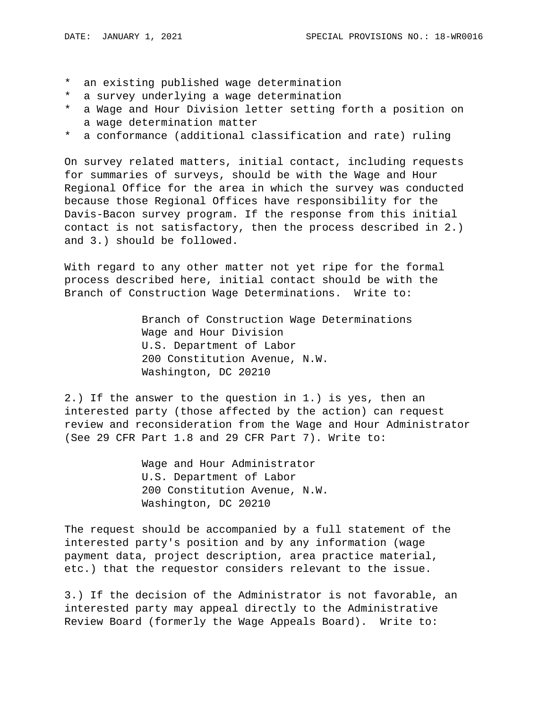- \* an existing published wage determination
- \* a survey underlying a wage determination
- \* a Wage and Hour Division letter setting forth a position on a wage determination matter
- \* a conformance (additional classification and rate) ruling

On survey related matters, initial contact, including requests for summaries of surveys, should be with the Wage and Hour Regional Office for the area in which the survey was conducted because those Regional Offices have responsibility for the Davis-Bacon survey program. If the response from this initial contact is not satisfactory, then the process described in 2.) and 3.) should be followed.

With regard to any other matter not yet ripe for the formal process described here, initial contact should be with the Branch of Construction Wage Determinations. Write to:

> Branch of Construction Wage Determinations Wage and Hour Division U.S. Department of Labor 200 Constitution Avenue, N.W. Washington, DC 20210

2.) If the answer to the question in 1.) is yes, then an interested party (those affected by the action) can request review and reconsideration from the Wage and Hour Administrator (See 29 CFR Part 1.8 and 29 CFR Part 7). Write to:

> Wage and Hour Administrator U.S. Department of Labor 200 Constitution Avenue, N.W. Washington, DC 20210

The request should be accompanied by a full statement of the interested party's position and by any information (wage payment data, project description, area practice material, etc.) that the requestor considers relevant to the issue.

3.) If the decision of the Administrator is not favorable, an interested party may appeal directly to the Administrative Review Board (formerly the Wage Appeals Board). Write to: